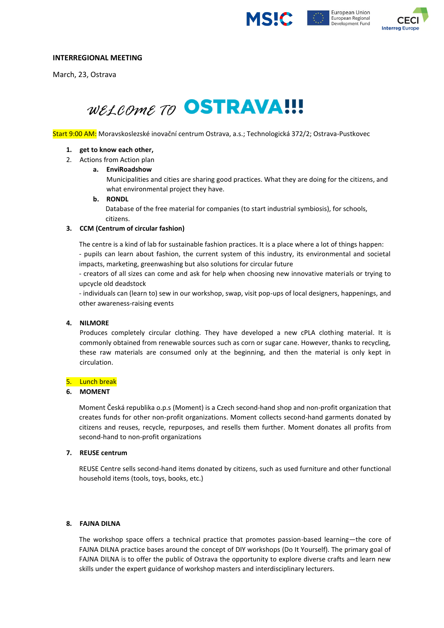





## **INTERREGIONAL MEETING**

March, 23, Ostrava

# *WELCOME TO* OSTRAVA!!!

Start 9:00 AM: Moravskoslezské inovační centrum Ostrava, a.s.; Technologická 372/2; Ostrava-Pustkovec

#### **1. get to know each other,**

2. Actions from Action plan

## **a. EnviRoadshow**

Municipalities and cities are sharing good practices. What they are doing for the citizens, and what environmental project they have.

#### **b. RONDL**

Database of the free material for companies (to start industrial symbiosis), for schools, citizens.

#### **3. CCM (Centrum of circular fashion)**

The centre is a kind of lab for sustainable fashion practices. It is a place where a lot of things happen:

- pupils can learn about fashion, the current system of this industry, its environmental and societal impacts, marketing, greenwashing but also solutions for circular future

- creators of all sizes can come and ask for help when choosing new innovative materials or trying to upcycle old deadstock

- individuals can (learn to) sew in our workshop, swap, visit pop-ups of local designers, happenings, and other awareness-raising events

#### **4. NILMORE**

Produces completely circular clothing. They have developed a new cPLA clothing material. It is commonly obtained from renewable sources such as corn or sugar cane. However, thanks to recycling, these raw materials are consumed only at the beginning, and then the material is only kept in circulation.

#### 5. Lunch break

#### **6. MOMENT**

Moment Česká republika o.p.s (Moment) is a Czech second-hand shop and non-profit organization that creates funds for other non-profit organizations. Moment collects second-hand garments donated by citizens and reuses, recycle, repurposes, and resells them further. Moment donates all profits from second-hand to non-profit organizations

#### **7. REUSE centrum**

REUSE Centre sells second-hand items donated by citizens, such as used furniture and other functional household items (tools, toys, books, etc.)

#### **8. FAJNA DILNA**

The workshop space offers a technical practice that promotes passion-based learning—the core of FAJNA DILNA practice bases around the concept of DIY workshops (Do It Yourself). The primary goal of FAJNA DILNA is to offer the public of Ostrava the opportunity to explore diverse crafts and learn new skills under the expert guidance of workshop masters and interdisciplinary lecturers.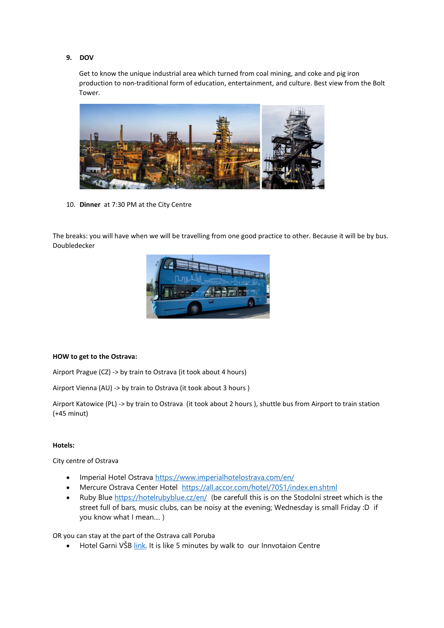#### **9. DOV**

Get to know the unique industrial area which turned from coal mining, and coke and pig iron production to non-traditional form of education, entertainment, and culture. Best view from the Bolt Tower.



10. **Dinner** at 7:30 PM at the City Centre

The breaks: you will have when we will be travelling from one good practice to other. Because it will be by bus. Doubledecker



#### **HOW to get to the Ostrava:**

Airport Prague (CZ) -> by train to Ostrava (it took about 4 hours)

Airport Vienna (AU) -> by train to Ostrava (it took about 3 hours )

Airport Katowice (PL) -> by train to Ostrava (it took about 2 hours ), shuttle bus from Airport to train station (+45 minut)

# **Hotels:**

City centre of Ostrava

- Imperial Hotel Ostrava <https://www.imperialhotelostrava.com/en/>
- Mercure Ostrava Center Hotel <https://all.accor.com/hotel/7051/index.en.shtml>
- Ruby Blue<https://hotelrubyblue.cz/en/> (be carefull this is on the Stodolní street which is the street full of bars, music clubs, can be noisy at the evening; Wednesday is small Friday :D if you know what I mean.... )

OR you can stay at the part of the Ostrava call Poruba

• Hotel Garni VŠB  $\frac{link}{lnk}$ . It is like 5 minutes by walk to our Innvotaion Centre